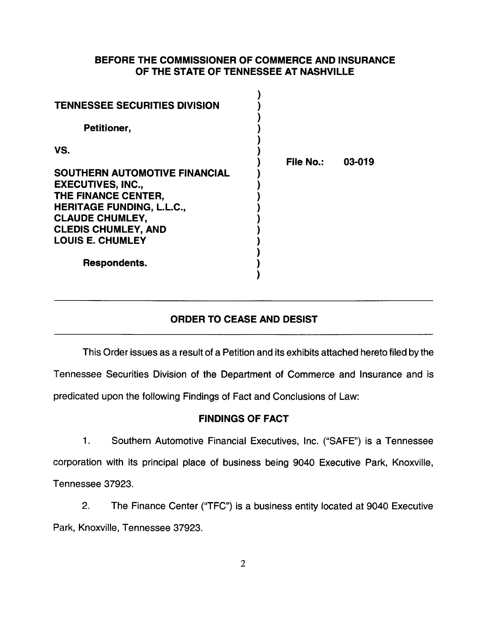## BEFORE THE COMMISSIONER OF COMMERCE AND INSURANCE OF THE STATE OF TENNESSEE AT NASHVILLE

| <b>TENNESSEE SECURITIES DIVISION</b>                                                                                                                                                                                  |           |        |
|-----------------------------------------------------------------------------------------------------------------------------------------------------------------------------------------------------------------------|-----------|--------|
| Petitioner,                                                                                                                                                                                                           |           |        |
| VS.<br><b>SOUTHERN AUTOMOTIVE FINANCIAL</b><br><b>EXECUTIVES, INC.,</b><br>THE FINANCE CENTER,<br><b>HERITAGE FUNDING, L.L.C.,</b><br><b>CLAUDE CHUMLEY,</b><br><b>CLEDIS CHUMLEY, AND</b><br><b>LOUIS E. CHUMLEY</b> | File No.: | 03-019 |
| Respondents.                                                                                                                                                                                                          |           |        |

# ORDER TO CEASE AND DESIST

This Order issues as a result of a Petition and its exhibits attached hereto filed by the Tennessee Securities Division of the Department of Commerce and Insurance and is predicated upon the following Findings of Fact and Conclusions of Law:

### FINDINGS OF FACT

1. Southern Automotive Financial Executives, Inc. ("SAFE") is a Tennessee corporation with its principal place of business being 9040 Executive Park, Knoxville, Tennessee 37923.

2. The Finance Center ("TFC") is a business entity located at 9040 Executive Park, Knoxville, Tennessee 37923.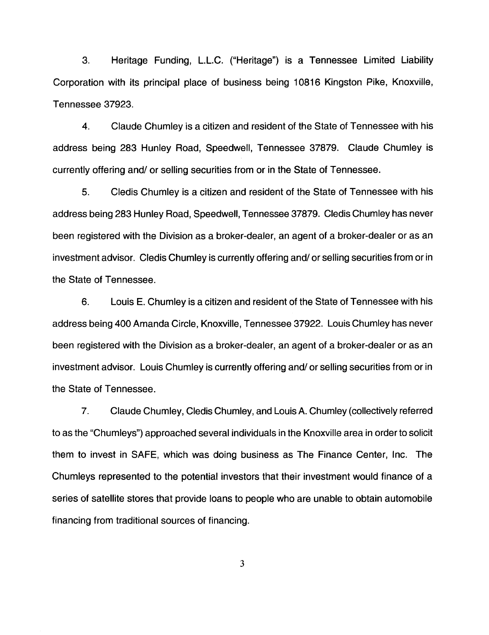3. Heritage Funding, L.L.C. ("Heritage") is a Tennessee Limited Liability Corporation with its principal place of business being 10816 Kingston Pike, Knoxville, Tennessee 37923.

4. Claude Chumley is a citizen and resident of the State of Tennessee with his address being 283 Hunley Road, Speedwell, Tennessee 37879. Claude Chumley is currently offering and/ or selling securities from or in the State of Tennessee.

5. Cledis Chumley is a citizen and resident of the State of Tennessee with his address being 283 Hunley Road, Speedwell, Tennessee 37879. Cledis Chumley has never been registered with the Division as a broker-dealer, an agent of a broker-dealer or as an investment advisor. Cledis Chumley is currently offering and/ or selling securities from or in the State of Tennessee.

6. Louis E. Chumley is a citizen and resident of the State of Tennessee with his address being 400 Amanda Circle, Knoxville, Tennessee 37922. Louis Chumley has never been registered with the Division as a broker-dealer, an agent of a broker-dealer or as an investment advisor. Louis Chumley is currently offering and/ or selling securities from or in the State of Tennessee.

7. Claude Chumley, Cledis Chumley, and Louis A. Chumley (collectively referred to as the "Chumleys") approached several individuals in the Knoxville area in order to solicit them to invest in SAFE, which was doing business as The Finance Center, Inc. The Chumleys represented to the potential investors that their investment would finance of a series of satellite stores that provide loans to people who are unable to obtain automobile financing from traditional sources of financing.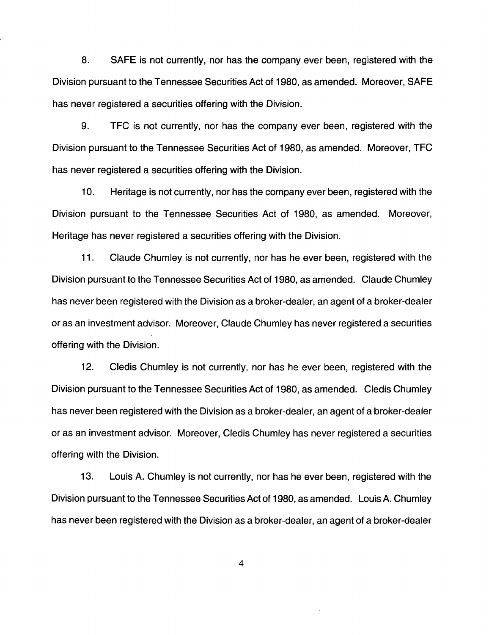8. SAFE is not currently, nor has the company ever been, registered with the Division pursuant to the Tennessee Securities Act of 1980, as amended. Moreover, SAFE has never registered a securities offering with the Division.

9. TFC is not currently, nor has the company ever been, registered with the Division pursuant to the Tennessee Securities Act of 1980, as amended. Moreover, TFC has never registered a securities offering with the Division.

10. Heritage is not currently, nor has the company ever been, registered with the Division pursuant to the Tennessee Securities Act of 1980, as amended. Moreover, Heritage has never registered a securities offering with the Division.

11. Claude Chumley is not currently, nor has he ever been, registered with the Division pursuant to the Tennessee Securities Act of 1980, as amended. Claude Chumley has never been registered with the Division as a broker-dealer, an agent of a broker-dealer or as an investment advisor. Moreover, Claude Chumley has never registered a securities offering with the Division.

12. Cledis Chumley is not currently, nor has he ever been, registered with the Division pursuant to the Tennessee Securities Act of 1980, as amended. Cledis Chumley has never been registered with the Division as a broker-dealer, an agent of a broker-dealer or as an investment advisor. Moreover, Cledis Chumley has never registered a securities offering with the Division.

13. Louis A. Chumley is not currently, nor has he ever been, registered with the Division pursuant to the Tennessee Securities Act of 1980, as amended. Louis A. Chumley has never been registered with the Division as a broker-dealer, an agent of a broker-dealer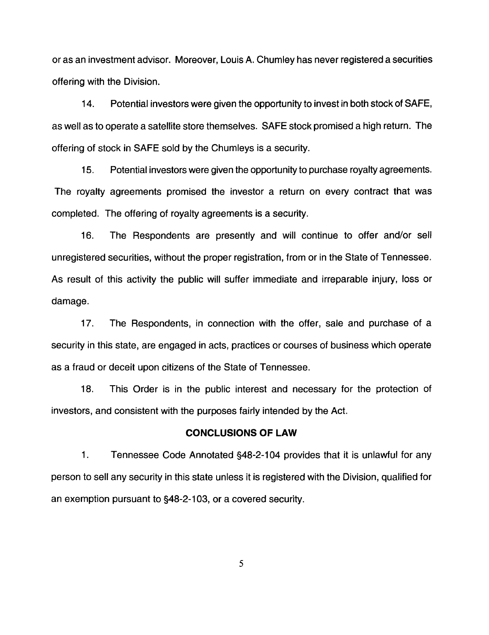or as an investment advisor. Moreover, Louis A. Chumley has never registered a securities offering with the Division.

14. Potential investors were given the opportunity to invest in both stock of SAFE, as well as to operate a satellite store themselves. SAFE stock promised a high return. The offering of stock in SAFE sold by the Chumleys is a security.

15. Potential investors were given the opportunity to purchase royalty agreements. The royalty agreements promised the investor a return on every contract that was completed. The offering of royalty agreements is a security.

16. The Respondents are presently and will continue to offer and/or sell unregistered securities, without the proper registration, from or in the State of Tennessee. As result of this activity the public will suffer immediate and irreparable injury, loss or damage.

17. The Respondents, in connection with the offer, sale and purchase of a security in this state, are engaged in acts, practices or courses of business which operate as a fraud or deceit upon citizens of the State of Tennessee.

18. This Order is in the public interest and necessary for the protection of investors, and consistent with the purposes fairly intended by the Act.

#### **CONCLUSIONS OF LAW**

1. Tennessee Code Annotated §48-2-104 provides that it is unlawful for any person to sell any security in this state unless it is registered with the Division, qualified for an exemption pursuant to §48-2-103, or a covered security.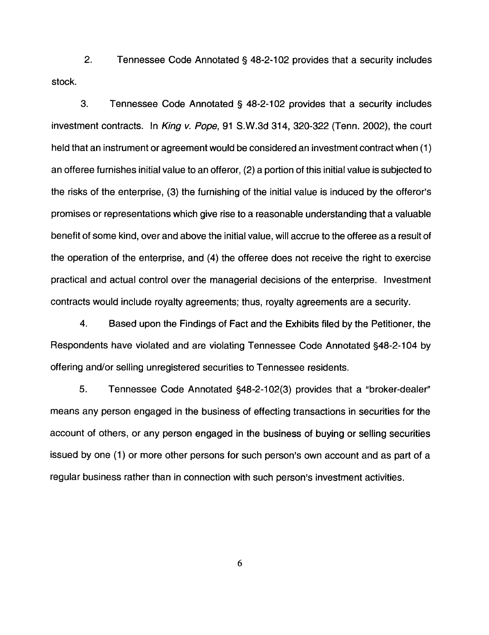2. Tennessee Code Annotated§ 48-2-102 provides that a security includes stock.

3. Tennessee Code Annotated§ 48-2-102 provides that a security includes investment contracts. In King v. Pope, 91 S.W.3d 314, 320-322 (Tenn. 2002), the court held that an instrument or agreement would be considered an investment contract when (1) an offeree furnishes initial value to an offeror, (2) a portion of this initial value is subjected to the risks of the enterprise, (3) the furnishing of the initial value is induced by the offeror's promises or representations which give rise to a reasonable understanding that a valuable benefit of some kind, over and above the initial value, will accrue to the offeree as a result of the operation of the enterprise, and (4) the offeree does not receive the right to exercise practical and actual control over the managerial decisions of the enterprise. Investment contracts would include royalty agreements; thus, royalty agreements are a security.

4. Based upon the Findings of Fact and the Exhibits filed by the Petitioner, the Respondents have violated and are violating Tennessee Code Annotated §48-2-104 by offering and/or selling unregistered securities to Tennessee residents.

5. Tennessee Code Annotated §48-2-1 02(3) provides that a "broker-dealer" means any person engaged in the business of effecting transactions in securities for the account of others, or any person engaged in the business of buying or selling securities issued by one (1) or more other persons for such person's own account and as part of a regular business rather than in connection with such person's investment activities.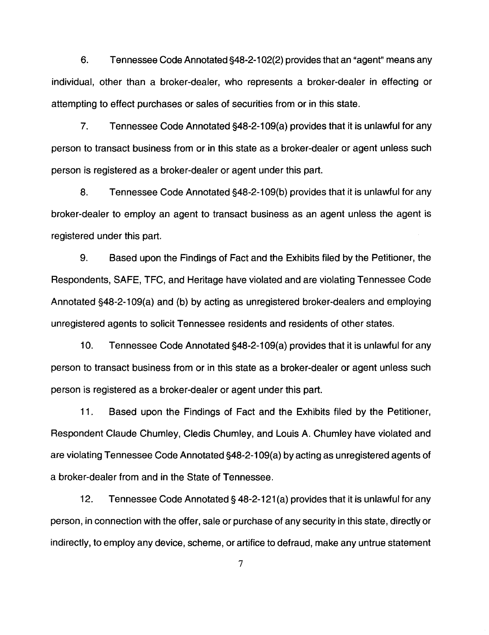6. Tennessee Code Annotated §48-2-1 02(2) provides that an "agent" means any individual, other than a broker-dealer, who represents a broker-dealer in effecting or attempting to effect purchases or sales of securities from or in this state.

7. Tennessee Code Annotated §48-2-109(a) provides that it is unlawful for any person to transact business from or in this state as a broker-dealer or agent unless such person is registered as a broker-dealer or agent under this part.

8. Tennessee Code Annotated §48-2-109(b) provides that it is unlawful for any broker-dealer to employ an agent to transact business as an agent unless the agent is registered under this part.

9. Based upon the Findings of Fact and the Exhibits filed by the Petitioner, the Respondents, SAFE, TFC, and Heritage have violated and are violating Tennessee Code Annotated §48-2-109(a) and (b) by acting as unregistered broker-dealers and employing unregistered agents to solicit Tennessee residents and residents of other states.

10. Tennessee Code Annotated §48-2-109(a) provides that it is unlawful for any person to transact business from or in this state as a broker-dealer or agent unless such person is registered as a broker-dealer or agent under this part.

11. Based upon the Findings of Fact and the Exhibits filed by the Petitioner, Respondent Claude Chumley, Cledis Chumley, and Louis A. Chumley have violated and are violating Tennessee Code Annotated §48-2-1 09(a) by acting as unregistered agents of a broker-dealer from and in the State of Tennessee.

12. Tennessee Code Annotated§ 48-2-121 (a) provides that it is unlawful for any person, in connection with the offer, sale or purchase of any security in this state, directly or indirectly, to employ any device, scheme, or artifice to defraud, make any untrue statement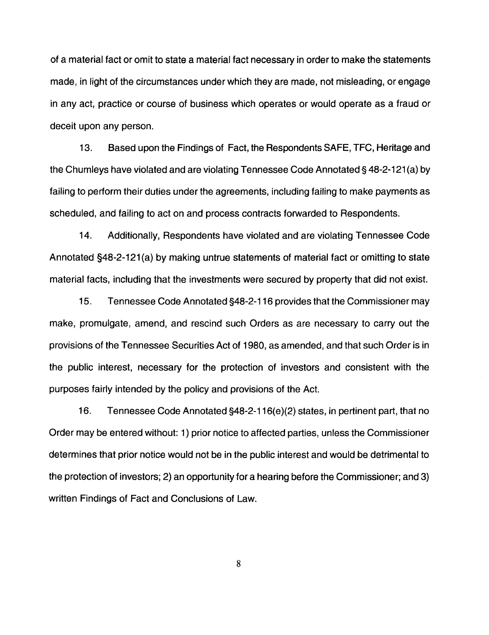of a material fact or omit to state a material fact necessary in order to make the statements made, in light of the circumstances under which they are made, not misleading, or engage in any act, practice or course of business which operates or would operate as a fraud or deceit upon any person.

13. Based upon the Findings of Fact, the Respondents SAFE, TFC, Heritage and the Chumleys have violated and are violating Tennessee Code Annotated§ 48-2-121 (a) by failing to perform their duties under the agreements, including failing to make payments as scheduled, and failing to act on and process contracts forwarded to Respondents.

14. Additionally, Respondents have violated and are violating Tennessee Code Annotated §48-2-121(a) by making untrue statements of material fact or omitting to state material facts, including that the investments were secured by property that did not exist.

15. Tennessee Code Annotated §48-2-116 provides that the Commissioner may make, promulgate, amend, and rescind such Orders as are necessary to carry out the provisions of the Tennessee Securities Act of 1980, as amended, and that such Order is in the public interest, necessary for the protection of investors and consistent with the purposes fairly intended by the policy and provisions of the Act.

16. Tennessee Code Annotated §48-2-116(e)(2) states, in pertinent part, that no Order may be entered without: 1) prior notice to affected parties, unless the Commissioner determines that prior notice would not be in the public interest and would be detrimental to the protection of investors; 2) an opportunity for a hearing before the Commissioner; and 3) written Findings of Fact and Conclusions of Law.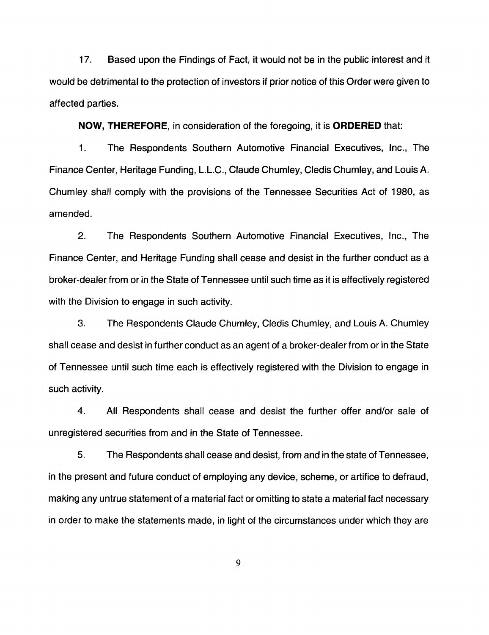17. Based upon the Findings of Fact, it would not be in the public interest and it would be detrimental to the protection of investors if prior notice of this Order were given to affected parties.

**NOW, THEREFORE,** in consideration of the foregoing, it is **ORDERED** that:

1. The Respondents Southern Automotive Financial Executives, Inc., The Finance Center, Heritage Funding, L.L.C., Claude Chumley, Cledis Chumley, and Louis A. Chumley shall comply with the provisions of the Tennessee Securities Act of 1980, as amended.

2. The Respondents Southern Automotive Financial Executives, Inc., The Finance Center, and Heritage Funding shall cease and desist in the further conduct as a broker-dealer from or in the State of Tennessee until such time as it is effectively registered with the Division to engage in such activity.

3. The Respondents Claude Chumley, Cledis Chumley, and Louis A. Chumley shall cease and desist in further conduct as an agent of a broker-dealer from or in the State of Tennessee until such time each is effectively registered with the Division to engage in such activity.

4. All Respondents shall cease and desist the further offer and/or sale of unregistered securities from and in the State of Tennessee.

5. The Respondents shall cease and desist, from and in the state of Tennessee, in the present and future conduct of employing any device, scheme, or artifice to defraud, making any untrue statement of a material fact or omitting to state a material fact necessary in order to make the statements made, in light of the circumstances under which they are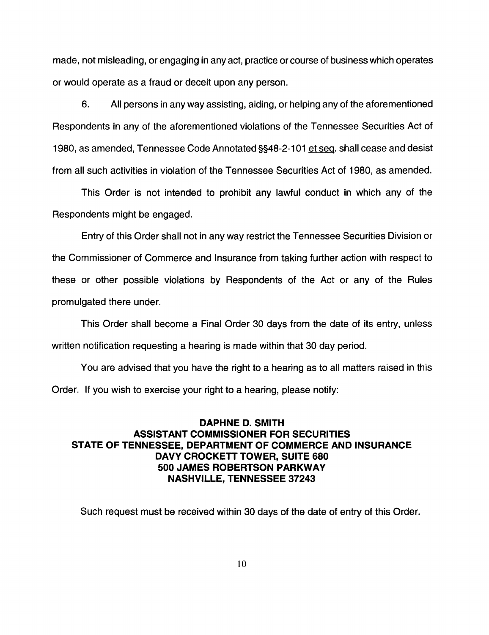made, not misleading, or engaging in any act, practice or course of business which operates or would operate as a fraud or deceit upon any person.

6. All persons in any way assisting, aiding, or helping any of the aforementioned Respondents in any of the aforementioned violations of the Tennessee Securities Act of 1980, as amended, Tennessee Code Annotated §§48-2-1 01 et seq. shall cease and desist from all such activities in violation of the Tennessee Securities Act of 1980, as amended.

This Order is not intended to prohibit any lawful conduct in which any of the Respondents might be engaged.

Entry of this Order shall not in any way restrict the Tennessee Securities Division or the Commissioner of Commerce and Insurance from taking further action with respect to these or other possible violations by Respondents of the Act or any of the Rules promulgated there under.

This Order shall become a Final Order 30 days from the date of its entry, unless written notification requesting a hearing is made within that 30 day period.

You are advised that you have the right to a hearing as to all matters raised in this Order. If you wish to exercise your right to a hearing, please notify:

# **DAPHNE D. SMITH ASSISTANT COMMISSIONER FOR SECURITIES STATE OF TENNESSEE, DEPARTMENT OF COMMERCE AND INSURANCE DAVY CROCKETT TOWER, SUITE 680 500 JAMES ROBERTSON PARKWAY NASHVILLE, TENNESSEE 37243**

Such request must be received within 30 days of the date of entry of this Order.